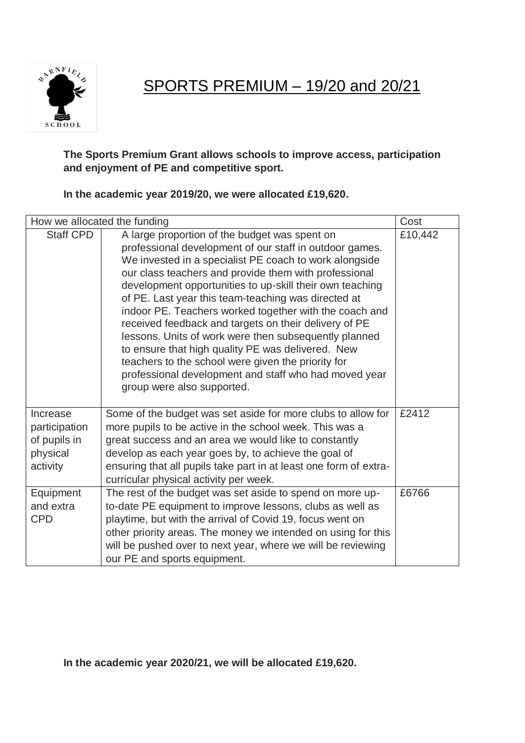**SARNFIELS**  $S$ CHOOL

SPORTS PREMIUM – 19/20 and 20/21

## **The Sports Premium Grant allows schools to improve access, participation and enjoyment of PE and competitive sport.**

## **In the academic year 2019/20, we were allocated £19,620.**

| How we allocated the funding                                      |                                                                                                                                                                                                                                                                                                                                                                                                                                                                                                                                                                                                                                                                                                                              | Cost    |
|-------------------------------------------------------------------|------------------------------------------------------------------------------------------------------------------------------------------------------------------------------------------------------------------------------------------------------------------------------------------------------------------------------------------------------------------------------------------------------------------------------------------------------------------------------------------------------------------------------------------------------------------------------------------------------------------------------------------------------------------------------------------------------------------------------|---------|
| <b>Staff CPD</b>                                                  | A large proportion of the budget was spent on<br>professional development of our staff in outdoor games.<br>We invested in a specialist PE coach to work alongside<br>our class teachers and provide them with professional<br>development opportunities to up-skill their own teaching<br>of PE. Last year this team-teaching was directed at<br>indoor PE. Teachers worked together with the coach and<br>received feedback and targets on their delivery of PE<br>lessons. Units of work were then subsequently planned<br>to ensure that high quality PE was delivered. New<br>teachers to the school were given the priority for<br>professional development and staff who had moved year<br>group were also supported. | £10,442 |
| Increase<br>participation<br>of pupils in<br>physical<br>activity | Some of the budget was set aside for more clubs to allow for<br>more pupils to be active in the school week. This was a<br>great success and an area we would like to constantly<br>develop as each year goes by, to achieve the goal of<br>ensuring that all pupils take part in at least one form of extra-<br>curricular physical activity per week.                                                                                                                                                                                                                                                                                                                                                                      | £2412   |
| Equipment<br>and extra<br><b>CPD</b>                              | The rest of the budget was set aside to spend on more up-<br>to-date PE equipment to improve lessons, clubs as well as<br>playtime, but with the arrival of Covid 19, focus went on<br>other priority areas. The money we intended on using for this<br>will be pushed over to next year, where we will be reviewing<br>our PE and sports equipment.                                                                                                                                                                                                                                                                                                                                                                         | £6766   |